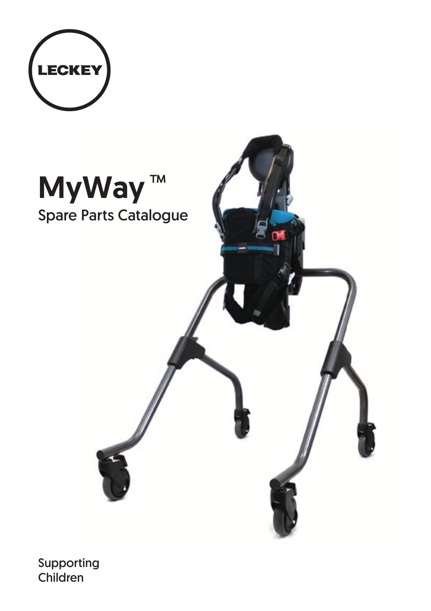



Supporting Children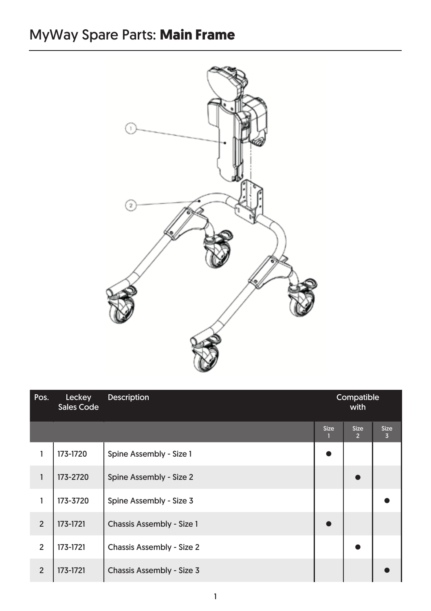## MyWay Spare Parts: **Main Frame**



| Pos.           | Leckey<br>Sales Code | <b>Description</b>        | Compatible<br>with |                               |                               |
|----------------|----------------------|---------------------------|--------------------|-------------------------------|-------------------------------|
|                |                      |                           | <b>Size</b><br>н   | <b>Size</b><br>$\overline{2}$ | <b>Size</b><br>$\overline{3}$ |
|                | 173-1720             | Spine Assembly - Size 1   |                    |                               |                               |
| 1              | 173-2720             | Spine Assembly - Size 2   |                    |                               |                               |
| 1              | 173-3720             | Spine Assembly - Size 3   |                    |                               |                               |
| $\overline{2}$ | 173-1721             | Chassis Assembly - Size 1 |                    |                               |                               |
| $\overline{2}$ | 173-1721             | Chassis Assembly - Size 2 |                    |                               |                               |
| $\overline{2}$ | 173-1721             | Chassis Assembly - Size 3 |                    |                               |                               |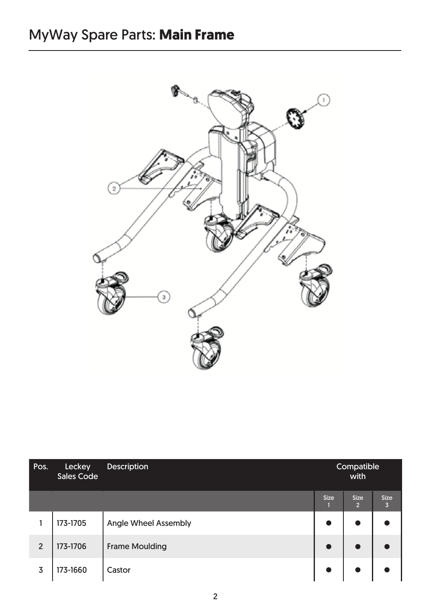

| Pos.           | Leckey<br>Sales Code | <b>Description</b>    | Compatible<br>with |                               |                               |  |
|----------------|----------------------|-----------------------|--------------------|-------------------------------|-------------------------------|--|
|                |                      |                       | <b>Size</b>        | <b>Size</b><br>$\overline{2}$ | <b>Size</b><br>$\overline{3}$ |  |
|                | 173-1705             | Angle Wheel Assembly  | $\bullet$          | $\bullet$                     |                               |  |
| $\overline{2}$ | 173-1706             | <b>Frame Moulding</b> | $\bullet$          | $\bullet$                     |                               |  |
| 3              | 173-1660             | Castor                | $\bullet$          |                               |                               |  |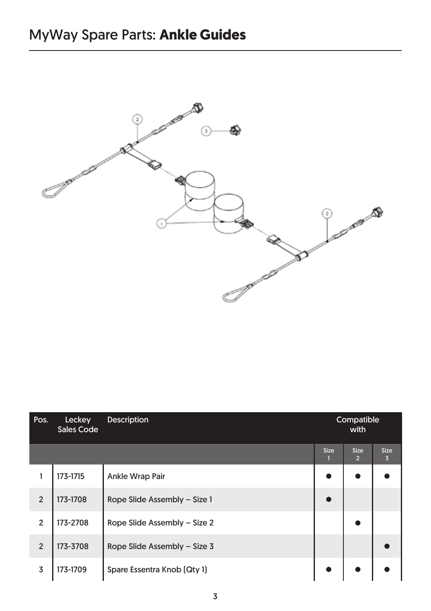

| Pos.           | Leckey<br>Sales Code | <b>Description</b>           | Compatible<br>with |                               |                  |  |
|----------------|----------------------|------------------------------|--------------------|-------------------------------|------------------|--|
|                |                      |                              | <b>Size</b>        | <b>Size</b><br>$\overline{2}$ | <b>Size</b><br>3 |  |
|                | 173-1715             | Ankle Wrap Pair              |                    |                               |                  |  |
| $\overline{2}$ | 173-1708             | Rope Slide Assembly - Size 1 |                    |                               |                  |  |
| $\overline{2}$ | 173-2708             | Rope Slide Assembly - Size 2 |                    |                               |                  |  |
| $\overline{2}$ | 173-3708             | Rope Slide Assembly - Size 3 |                    |                               |                  |  |
| 3              | 173-1709             | Spare Essentra Knob (Qty 1)  |                    |                               |                  |  |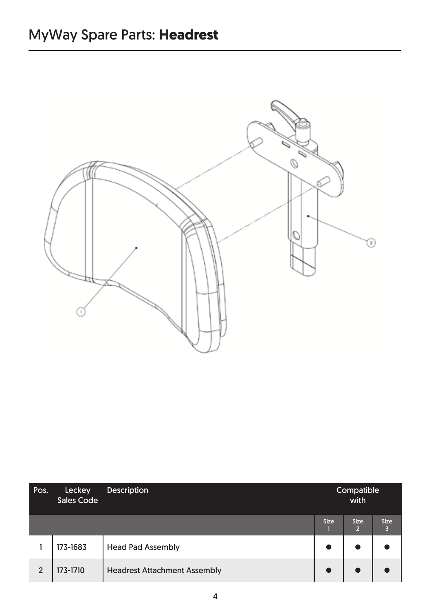

| Pos.           | Leckey<br>Sales Code | <b>Description</b>                  | Compatible<br>with |                               |                  |  |
|----------------|----------------------|-------------------------------------|--------------------|-------------------------------|------------------|--|
|                |                      |                                     | <b>Size</b>        | <b>Size</b><br>$\overline{2}$ | <b>Size</b><br>Б |  |
|                | 173-1683             | <b>Head Pad Assembly</b>            |                    |                               |                  |  |
| $\overline{2}$ | 173-1710             | <b>Headrest Attachment Assembly</b> |                    |                               |                  |  |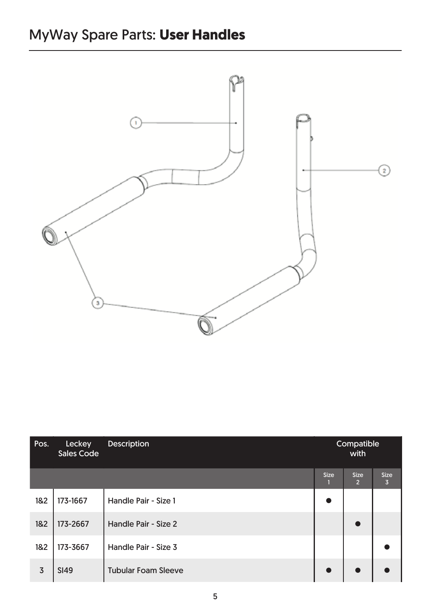

| Pos. | Leckey<br>Sales Code | <b>Description</b>         | Compatible<br>with |                               |                  |  |
|------|----------------------|----------------------------|--------------------|-------------------------------|------------------|--|
|      |                      |                            | <b>Size</b>        | <b>Size</b><br>$\overline{2}$ | <b>Size</b><br>3 |  |
| 1&2  | 173-1667             | Handle Pair - Size 1       | ●                  |                               |                  |  |
| 182  | 173-2667             | Handle Pair - Size 2       |                    | $\bullet$                     |                  |  |
| 182  | 173-3667             | Handle Pair - Size 3       |                    |                               |                  |  |
| 3    | <b>SI49</b>          | <b>Tubular Foam Sleeve</b> |                    |                               |                  |  |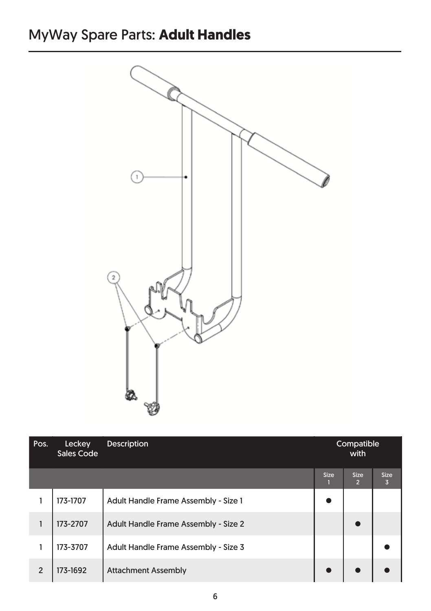## MyWay Spare Parts: **Adult Handles**



| Pos.                    | Leckey<br>Sales Code | <b>Description</b>                   | Compatible<br>with |                               |                  |  |
|-------------------------|----------------------|--------------------------------------|--------------------|-------------------------------|------------------|--|
|                         |                      |                                      | <b>Size</b>        | <b>Size</b><br>$\overline{2}$ | <b>Size</b><br>3 |  |
|                         | 173-1707             | Adult Handle Frame Assembly - Size 1 |                    |                               |                  |  |
|                         | 173-2707             | Adult Handle Frame Assembly - Size 2 |                    |                               |                  |  |
|                         | 173-3707             | Adult Handle Frame Assembly - Size 3 |                    |                               |                  |  |
| $\overline{\mathbf{c}}$ | 173-1692             | <b>Attachment Assembly</b>           |                    |                               |                  |  |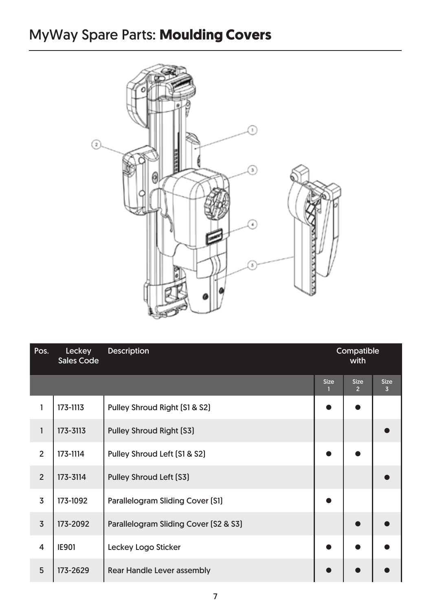## MyWay Spare Parts: **Moulding Covers**



| Pos.           | Leckey<br>Sales Code | <b>Description</b>                    | Compatible<br>with |                               |                               |
|----------------|----------------------|---------------------------------------|--------------------|-------------------------------|-------------------------------|
|                |                      |                                       | <b>Size</b><br>1   | <b>Size</b><br>2 <sup>2</sup> | <b>Size</b><br>$\overline{3}$ |
| 1              | 173-1113             | Pulley Shroud Right [S1 & S2]         |                    |                               |                               |
| $\mathbf{1}$   | 173-3113             | Pulley Shroud Right [S3]              |                    |                               |                               |
| $\overline{2}$ | 173-1114             | Pulley Shroud Left [S1 & S2]          |                    |                               |                               |
| $\overline{2}$ | 173-3114             | Pulley Shroud Left [S3]               |                    |                               |                               |
| 3              | 173-1092             | Parallelogram Sliding Cover [S1]      |                    |                               |                               |
| $\overline{3}$ | 173-2092             | Parallelogram Sliding Cover (S2 & S3) |                    |                               |                               |
| $\overline{4}$ | <b>IE901</b>         | Leckey Logo Sticker                   |                    |                               |                               |
| 5              | 173-2629             | Rear Handle Lever assembly            |                    |                               |                               |